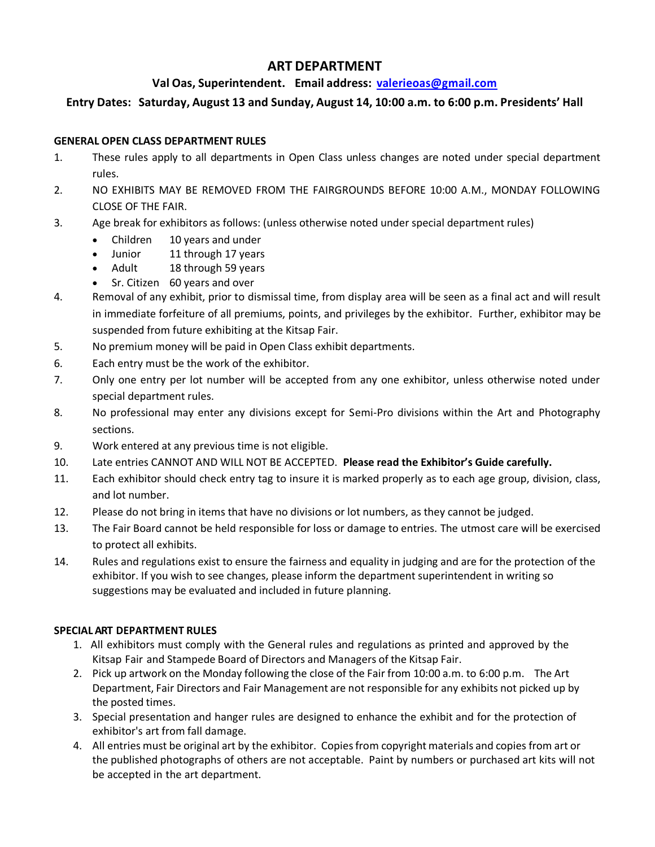# **ART DEPARTMENT**

# **Val Oas, Superintendent. Email address: [valerieoas@gmail.com](mailto:valerieoas@gmail.com)**

# **Entry Dates: Saturday, August 13 and Sunday, August 14, 10:00 a.m. to 6:00 p.m. Presidents' Hall**

### **GENERAL OPEN CLASS DEPARTMENT RULES**

- 1. These rules apply to all departments in Open Class unless changes are noted under special department rules.
- 2. NO EXHIBITS MAY BE REMOVED FROM THE FAIRGROUNDS BEFORE 10:00 A.M., MONDAY FOLLOWING CLOSE OF THE FAIR.
- 3. Age break for exhibitors as follows: (unless otherwise noted under special department rules)
	- Children 10 years and under
	- Junior 11 through 17 years
	- Adult 18 through 59 years
	- Sr. Citizen 60 years and over
- 4. Removal of any exhibit, prior to dismissal time, from display area will be seen as a final act and will result in immediate forfeiture of all premiums, points, and privileges by the exhibitor. Further, exhibitor may be suspended from future exhibiting at the Kitsap Fair.
- 5. No premium money will be paid in Open Class exhibit departments.
- 6. Each entry must be the work of the exhibitor.
- 7. Only one entry per lot number will be accepted from any one exhibitor, unless otherwise noted under special department rules.
- 8. No professional may enter any divisions except for Semi-Pro divisions within the Art and Photography sections.
- 9. Work entered at any previous time is not eligible.
- 10. Late entries CANNOT AND WILL NOT BE ACCEPTED. **Please read the Exhibitor's Guide carefully.**
- 11. Each exhibitor should check entry tag to insure it is marked properly as to each age group, division, class, and lot number.
- 12. Please do not bring in items that have no divisions or lot numbers, as they cannot be judged.
- 13. The Fair Board cannot be held responsible for loss or damage to entries. The utmost care will be exercised to protect all exhibits.
- 14. Rules and regulations exist to ensure the fairness and equality in judging and are for the protection of the exhibitor. If you wish to see changes, please inform the department superintendent in writing so suggestions may be evaluated and included in future planning.

# **SPECIALART DEPARTMENT RULES**

- 1. All exhibitors must comply with the General rules and regulations as printed and approved by the Kitsap Fair and Stampede Board of Directors and Managers of the Kitsap Fair.
- 2. Pick up artwork on the Monday following the close of the Fair from 10:00 a.m. to 6:00 p.m. The Art Department, Fair Directors and Fair Management are not responsible for any exhibits not picked up by the posted times.
- 3. Special presentation and hanger rules are designed to enhance the exhibit and for the protection of exhibitor's art from fall damage.
- 4. All entries must be original art by the exhibitor. Copiesfrom copyright materials and copies from art or the published photographs of others are not acceptable. Paint by numbers or purchased art kits will not be accepted in the art department.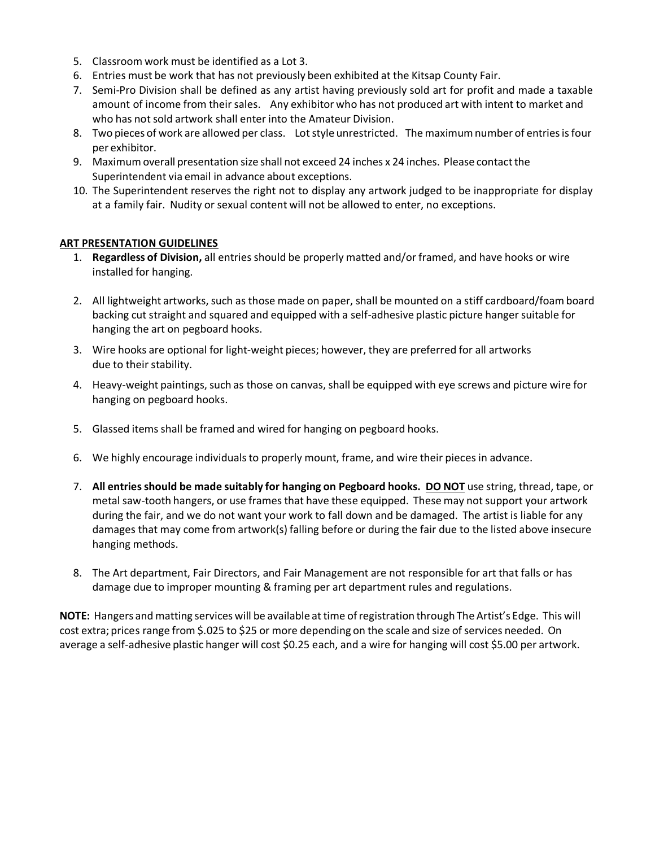- 5. Classroom work must be identified as a Lot 3.
- 6. Entries must be work that has not previously been exhibited at the Kitsap County Fair.
- 7. Semi-Pro Division shall be defined as any artist having previously sold art for profit and made a taxable amount of income from their sales. Any exhibitor who has not produced art with intent to market and who has not sold artwork shall enter into the Amateur Division.
- 8. Two pieces of work are allowed per class. Lot style unrestricted. The maximum number of entries is four per exhibitor.
- 9. Maximum overall presentation size shall not exceed 24 inches x 24 inches. Please contact the Superintendent via email in advance about exceptions.
- 10. The Superintendent reserves the right not to display any artwork judged to be inappropriate for display at a family fair. Nudity or sexual content will not be allowed to enter, no exceptions.

#### **ART PRESENTATION GUIDELINES**

- 1. **Regardless of Division,** all entries should be properly matted and/or framed, and have hooks or wire installed for hanging.
- 2. All lightweight artworks, such as those made on paper, shall be mounted on a stiff cardboard/foam board backing cut straight and squared and equipped with a self-adhesive plastic picture hanger suitable for hanging the art on pegboard hooks.
- 3. Wire hooks are optional for light-weight pieces; however, they are preferred for all artworks due to their stability.
- 4. Heavy-weight paintings, such as those on canvas, shall be equipped with eye screws and picture wire for hanging on pegboard hooks.
- 5. Glassed items shall be framed and wired for hanging on pegboard hooks.
- 6. We highly encourage individualsto properly mount, frame, and wire their pieces in advance.
- 7. **All entriesshould be made suitably for hanging on Pegboard hooks. DO NOT** use string, thread, tape, or metal saw-tooth hangers, or use frames that have these equipped. These may not support your artwork during the fair, and we do not want your work to fall down and be damaged. The artist is liable for any damages that may come from artwork(s) falling before or during the fair due to the listed above insecure hanging methods.
- 8. The Art department, Fair Directors, and Fair Management are not responsible for art that falls or has damage due to improper mounting & framing per art department rules and regulations.

**NOTE:** Hangers and matting services will be available at time of registration through The Artist's Edge. This will cost extra; prices range from \$.025 to \$25 or more depending on the scale and size of services needed. On average a self-adhesive plastic hanger will cost \$0.25 each, and a wire for hanging will cost \$5.00 per artwork.